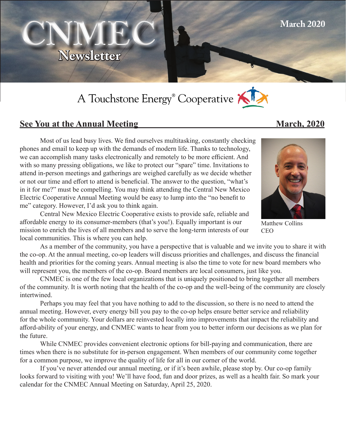

# A Touchstone Energy® Cooperative



# **See You at the Annual Meeting March, 2020**

 Most of us lead busy lives. We find ourselves multitasking, constantly checking phones and email to keep up with the demands of modern life. Thanks to technology, we can accomplish many tasks electronically and remotely to be more efficient. And with so many pressing obligations, we like to protect our "spare" time. Invitations to attend in-person meetings and gatherings are weighed carefully as we decide whether or not our time and effort to attend is beneficial. The answer to the question, "what's in it for me?" must be compelling. You may think attending the Central New Mexico Electric Cooperative Annual Meeting would be easy to lump into the "no benefit to me" category. However, I'd ask you to think again.



**March 2020**

Matthew Collins **CEO** 

Central New Mexico Electric Cooperative exists to provide safe, reliable and affordable energy to its consumer-members (that's you!). Equally important is our mission to enrich the lives of all members and to serve the long-term interests of our local communities. This is where you can help.

As a member of the community, you have a perspective that is valuable and we invite you to share it with the co-op. At the annual meeting, co-op leaders will discuss priorities and challenges, and discuss the financial health and priorities for the coming years. Annual meeting is also the time to vote for new board members who will represent you, the members of the co-op. Board members are local consumers, just like you.

CNMEC is one of the few local organizations that is uniquely positioned to bring together all members of the community. It is worth noting that the health of the co-op and the well-being of the community are closely intertwined.

Perhaps you may feel that you have nothing to add to the discussion, so there is no need to attend the annual meeting. However, every energy bill you pay to the co-op helps ensure better service and reliability for the whole community. Your dollars are reinvested locally into improvements that impact the reliability and afford-ability of your energy, and CNMEC wants to hear from you to better inform our decisions as we plan for the future.

While CNMEC provides convenient electronic options for bill-paying and communication, there are times when there is no substitute for in-person engagement. When members of our community come together for a common purpose, we improve the quality of life for all in our corner of the world.

If you've never attended our annual meeting, or if it's been awhile, please stop by. Our co-op family looks forward to visiting with you! We'll have food, fun and door prizes, as well as a health fair. So mark your calendar for the CNMEC Annual Meeting on Saturday, April 25, 2020.